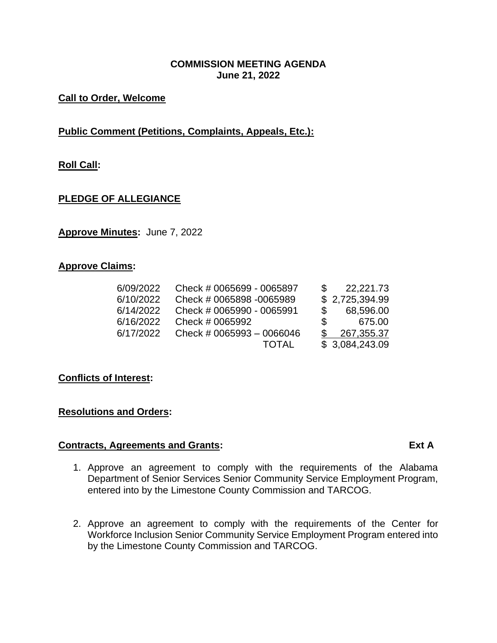#### **COMMISSION MEETING AGENDA June 21, 2022**

## **Call to Order, Welcome**

# **Public Comment (Petitions, Complaints, Appeals, Etc.):**

# **Roll Call:**

#### **PLEDGE OF ALLEGIANCE**

**Approve Minutes:** June 7, 2022

#### **Approve Claims:**

| 6/09/2022 | Check # 0065699 - 0065897 |    | 22,221.73      |
|-----------|---------------------------|----|----------------|
| 6/10/2022 | Check # 0065898 -0065989  |    | \$2,725,394.99 |
| 6/14/2022 | Check # 0065990 - 0065991 |    | 68,596.00      |
| 6/16/2022 | Check # 0065992           | S. | 675.00         |
| 6/17/2022 | Check # 0065993 - 0066046 |    | 267,355.37     |
|           | <b>TOTAL</b>              |    | \$3,084,243.09 |

#### **Conflicts of Interest:**

#### **Resolutions and Orders:**

#### **Contracts, Agreements and Grants: Ext A**

- 1. Approve an agreement to comply with the requirements of the Alabama Department of Senior Services Senior Community Service Employment Program, entered into by the Limestone County Commission and TARCOG.
- 2. Approve an agreement to comply with the requirements of the Center for Workforce Inclusion Senior Community Service Employment Program entered into by the Limestone County Commission and TARCOG.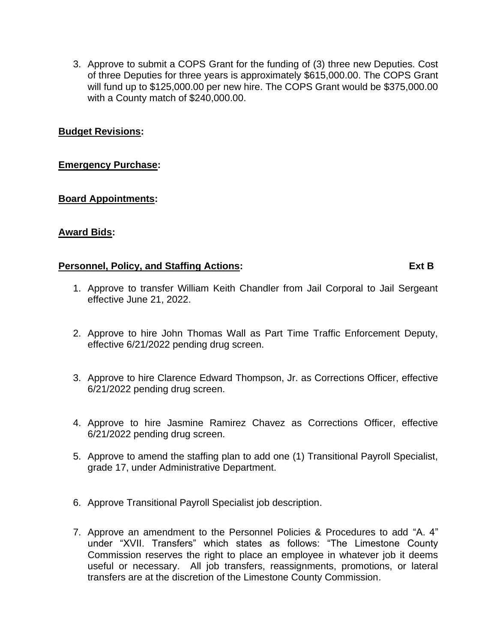3. Approve to submit a COPS Grant for the funding of (3) three new Deputies. Cost of three Deputies for three years is approximately \$615,000.00. The COPS Grant will fund up to \$125,000.00 per new hire. The COPS Grant would be \$375,000.00 with a County match of \$240,000.00.

## **Budget Revisions:**

#### **Emergency Purchase:**

#### **Board Appointments:**

#### **Award Bids:**

#### **Personnel, Policy, and Staffing Actions: Ext B**

- 1. Approve to transfer William Keith Chandler from Jail Corporal to Jail Sergeant effective June 21, 2022.
- 2. Approve to hire John Thomas Wall as Part Time Traffic Enforcement Deputy, effective 6/21/2022 pending drug screen.
- 3. Approve to hire Clarence Edward Thompson, Jr. as Corrections Officer, effective 6/21/2022 pending drug screen.
- 4. Approve to hire Jasmine Ramirez Chavez as Corrections Officer, effective 6/21/2022 pending drug screen.
- 5. Approve to amend the staffing plan to add one (1) Transitional Payroll Specialist, grade 17, under Administrative Department.
- 6. Approve Transitional Payroll Specialist job description.
- 7. Approve an amendment to the Personnel Policies & Procedures to add "A. 4" under "XVII. Transfers" which states as follows: "The Limestone County Commission reserves the right to place an employee in whatever job it deems useful or necessary. All job transfers, reassignments, promotions, or lateral transfers are at the discretion of the Limestone County Commission.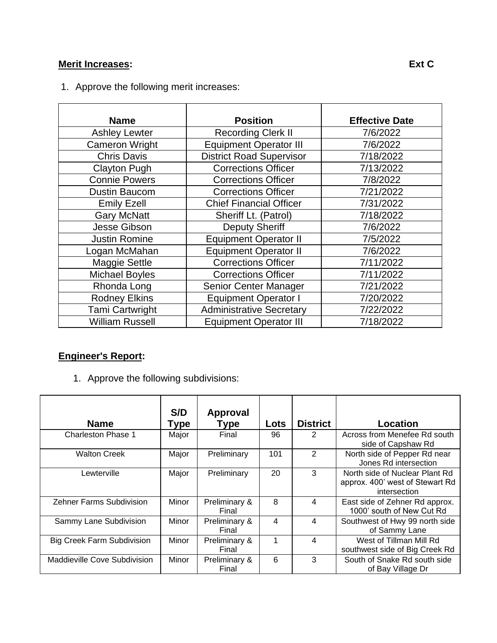# **Merit Increases: Ext C**

| <b>Name</b>            | <b>Position</b>                            | <b>Effective Date</b> |
|------------------------|--------------------------------------------|-----------------------|
| <b>Ashley Lewter</b>   | <b>Recording Clerk II</b>                  | 7/6/2022              |
| <b>Cameron Wright</b>  | <b>Equipment Operator III</b>              | 7/6/2022              |
| <b>Chris Davis</b>     | <b>District Road Supervisor</b>            | 7/18/2022             |
| <b>Clayton Pugh</b>    | <b>Corrections Officer</b>                 | 7/13/2022             |
| <b>Connie Powers</b>   | <b>Corrections Officer</b>                 | 7/8/2022              |
| Dustin Baucom          | <b>Corrections Officer</b>                 | 7/21/2022             |
| <b>Emily Ezell</b>     | <b>Chief Financial Officer</b>             | 7/31/2022             |
| <b>Gary McNatt</b>     | Sheriff Lt. (Patrol)                       | 7/18/2022             |
| Jesse Gibson           | <b>Deputy Sheriff</b>                      | 7/6/2022              |
| <b>Justin Romine</b>   | <b>Equipment Operator II</b>               | 7/5/2022              |
| Logan McMahan          | <b>Equipment Operator II</b>               | 7/6/2022              |
| <b>Maggie Settle</b>   | <b>Corrections Officer</b>                 | 7/11/2022             |
| <b>Michael Boyles</b>  | <b>Corrections Officer</b>                 | 7/11/2022             |
| Rhonda Long            | Senior Center Manager                      | 7/21/2022             |
| <b>Rodney Elkins</b>   | <b>Equipment Operator I</b>                | 7/20/2022             |
| <b>Tami Cartwright</b> | <b>Administrative Secretary</b>            | 7/22/2022             |
| <b>William Russell</b> | 7/18/2022<br><b>Equipment Operator III</b> |                       |

1. Approve the following merit increases:

# **Engineer's Report:**

1. Approve the following subdivisions:

| <b>Name</b>                       | S/D<br>Type | Approval<br><b>Type</b> | Lots | <b>District</b> | Location                                                                          |
|-----------------------------------|-------------|-------------------------|------|-----------------|-----------------------------------------------------------------------------------|
| <b>Charleston Phase 1</b>         | Major       | Final                   | 96   | 2               | Across from Menefee Rd south<br>side of Capshaw Rd                                |
| <b>Walton Creek</b>               | Major       | Preliminary             | 101  | $\overline{2}$  | North side of Pepper Rd near<br>Jones Rd intersection                             |
| Lewterville                       | Major       | Preliminary             | 20   | 3               | North side of Nuclear Plant Rd<br>approx. 400' west of Stewart Rd<br>intersection |
| <b>Zehner Farms Subdivision</b>   | Minor       | Preliminary &<br>Final  | 8    | 4               | East side of Zehner Rd approx.<br>1000' south of New Cut Rd                       |
| Sammy Lane Subdivision            | Minor       | Preliminary &<br>Final  | 4    | 4               | Southwest of Hwy 99 north side<br>of Sammy Lane                                   |
| <b>Big Creek Farm Subdivision</b> | Minor       | Preliminary &<br>Final  |      | 4               | West of Tillman Mill Rd<br>southwest side of Big Creek Rd                         |
| Maddieville Cove Subdivision      | Minor       | Preliminary &<br>Final  | 6    | 3               | South of Snake Rd south side<br>of Bay Village Dr                                 |